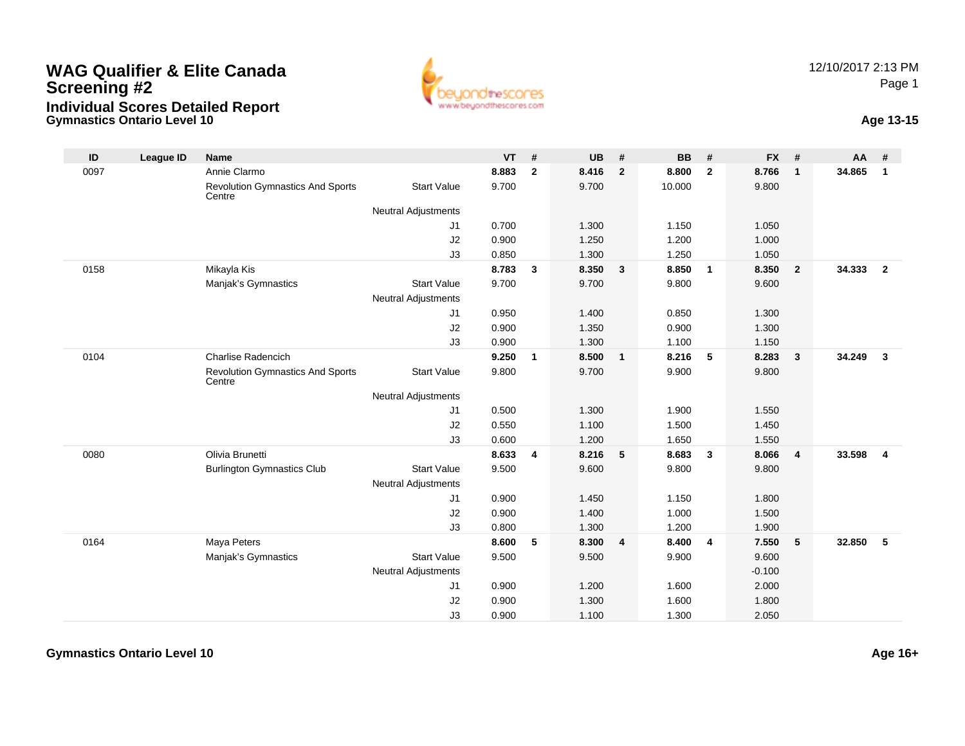## **Gymnastics Ontario Level 10 Age 13-15 WAG Qualifier & Elite CanadaScreening #2Individual Scores Detailed Report**





| ID   | <b>League ID</b> | Name                                              |                            | <b>VT</b> | #              | <b>UB</b> | #              | <b>BB</b> | #              | <b>FX</b> | #                       | AA     | #              |
|------|------------------|---------------------------------------------------|----------------------------|-----------|----------------|-----------|----------------|-----------|----------------|-----------|-------------------------|--------|----------------|
| 0097 |                  | Annie Clarmo                                      |                            | 8.883     | $\overline{2}$ | 8.416     | $\overline{2}$ | 8.800     | $\overline{2}$ | 8.766     | $\overline{\mathbf{1}}$ | 34.865 | $\mathbf{1}$   |
|      |                  | <b>Revolution Gymnastics And Sports</b><br>Centre | <b>Start Value</b>         | 9.700     |                | 9.700     |                | 10.000    |                | 9.800     |                         |        |                |
|      |                  |                                                   | <b>Neutral Adjustments</b> |           |                |           |                |           |                |           |                         |        |                |
|      |                  |                                                   | J1                         | 0.700     |                | 1.300     |                | 1.150     |                | 1.050     |                         |        |                |
|      |                  |                                                   | J2                         | 0.900     |                | 1.250     |                | 1.200     |                | 1.000     |                         |        |                |
|      |                  |                                                   | J3                         | 0.850     |                | 1.300     |                | 1.250     |                | 1.050     |                         |        |                |
| 0158 |                  | Mikayla Kis                                       |                            | 8.783     | 3              | 8.350     | $\mathbf{3}$   | 8.850     | $\overline{1}$ | 8.350     | $\overline{\mathbf{2}}$ | 34.333 | $\overline{2}$ |
|      |                  | Manjak's Gymnastics                               | <b>Start Value</b>         | 9.700     |                | 9.700     |                | 9.800     |                | 9.600     |                         |        |                |
|      |                  |                                                   | <b>Neutral Adjustments</b> |           |                |           |                |           |                |           |                         |        |                |
|      |                  |                                                   | J1                         | 0.950     |                | 1.400     |                | 0.850     |                | 1.300     |                         |        |                |
|      |                  |                                                   | J2                         | 0.900     |                | 1.350     |                | 0.900     |                | 1.300     |                         |        |                |
|      |                  |                                                   | J3                         | 0.900     |                | 1.300     |                | 1.100     |                | 1.150     |                         |        |                |
| 0104 |                  | Charlise Radencich                                |                            | 9.250     | $\mathbf{1}$   | 8.500     | $\mathbf{1}$   | 8.216     | 5              | 8.283     | $\overline{\mathbf{3}}$ | 34.249 | $\mathbf{3}$   |
|      |                  | <b>Revolution Gymnastics And Sports</b><br>Centre | <b>Start Value</b>         | 9.800     |                | 9.700     |                | 9.900     |                | 9.800     |                         |        |                |
|      |                  |                                                   | <b>Neutral Adjustments</b> |           |                |           |                |           |                |           |                         |        |                |
|      |                  |                                                   | J1                         | 0.500     |                | 1.300     |                | 1.900     |                | 1.550     |                         |        |                |
|      |                  |                                                   | J2                         | 0.550     |                | 1.100     |                | 1.500     |                | 1.450     |                         |        |                |
|      |                  |                                                   | J3                         | 0.600     |                | 1.200     |                | 1.650     |                | 1.550     |                         |        |                |
| 0080 |                  | Olivia Brunetti                                   |                            | 8.633     | 4              | 8.216     | 5              | 8.683     | $\mathbf{3}$   | 8.066     | $\overline{4}$          | 33.598 | $\overline{4}$ |
|      |                  | <b>Burlington Gymnastics Club</b>                 | <b>Start Value</b>         | 9.500     |                | 9.600     |                | 9.800     |                | 9.800     |                         |        |                |
|      |                  |                                                   | <b>Neutral Adjustments</b> |           |                |           |                |           |                |           |                         |        |                |
|      |                  |                                                   | J1                         | 0.900     |                | 1.450     |                | 1.150     |                | 1.800     |                         |        |                |
|      |                  |                                                   | J2                         | 0.900     |                | 1.400     |                | 1.000     |                | 1.500     |                         |        |                |
|      |                  |                                                   | J3                         | 0.800     |                | 1.300     |                | 1.200     |                | 1.900     |                         |        |                |
| 0164 |                  | Maya Peters                                       |                            | 8.600     | 5              | 8.300     | 4              | 8.400     | 4              | 7.550     | $5\phantom{.0}$         | 32.850 | 5              |
|      |                  | Manjak's Gymnastics                               | <b>Start Value</b>         | 9.500     |                | 9.500     |                | 9.900     |                | 9.600     |                         |        |                |
|      |                  |                                                   | <b>Neutral Adjustments</b> |           |                |           |                |           |                | $-0.100$  |                         |        |                |
|      |                  |                                                   | J1                         | 0.900     |                | 1.200     |                | 1.600     |                | 2.000     |                         |        |                |
|      |                  |                                                   | J2                         | 0.900     |                | 1.300     |                | 1.600     |                | 1.800     |                         |        |                |
|      |                  |                                                   | J3                         | 0.900     |                | 1.100     |                | 1.300     |                | 2.050     |                         |        |                |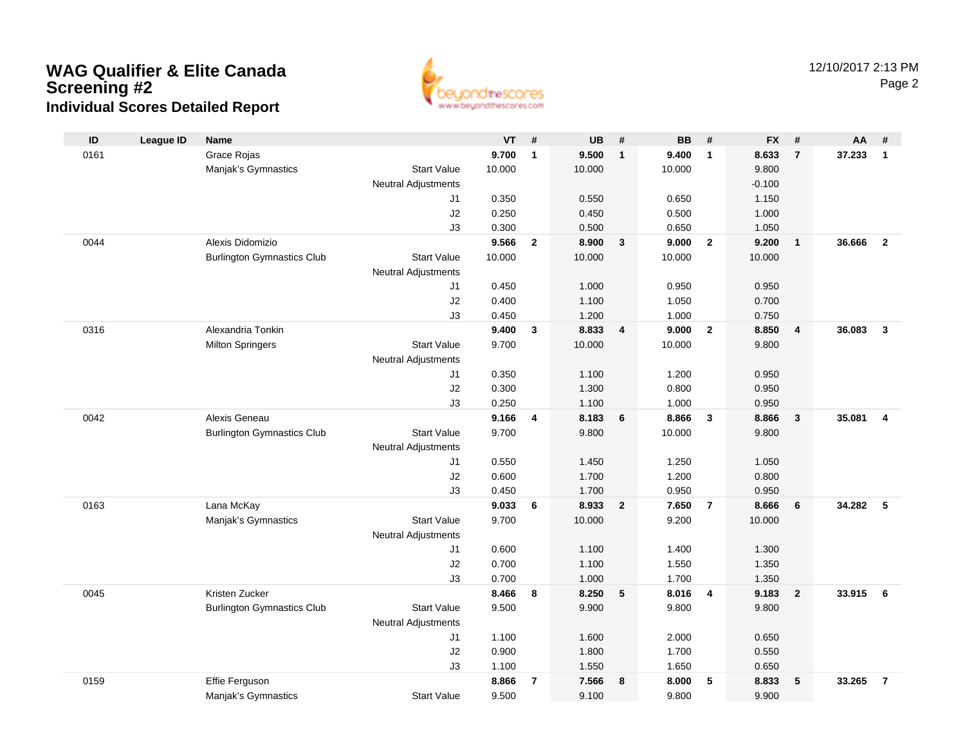## **WAG Qualifier & Elite CanadaScreening #2 Individual Scores Detailed Report**



| ID   | <b>League ID</b> | <b>Name</b>                       |                            | <b>VT</b> | #              | <b>UB</b> | #              | <b>BB</b> | #              | <b>FX</b> | #                       | AA     | #                       |
|------|------------------|-----------------------------------|----------------------------|-----------|----------------|-----------|----------------|-----------|----------------|-----------|-------------------------|--------|-------------------------|
| 0161 |                  | Grace Rojas                       |                            | 9.700     | $\mathbf{1}$   | 9.500     | $\mathbf{1}$   | 9.400     | $\mathbf{1}$   | 8.633     | $\overline{7}$          | 37.233 | $\overline{1}$          |
|      |                  | Manjak's Gymnastics               | <b>Start Value</b>         | 10.000    |                | 10.000    |                | 10.000    |                | 9.800     |                         |        |                         |
|      |                  |                                   | <b>Neutral Adjustments</b> |           |                |           |                |           |                | $-0.100$  |                         |        |                         |
|      |                  |                                   | J1                         | 0.350     |                | 0.550     |                | 0.650     |                | 1.150     |                         |        |                         |
|      |                  |                                   | J2                         | 0.250     |                | 0.450     |                | 0.500     |                | 1.000     |                         |        |                         |
|      |                  |                                   | J3                         | 0.300     |                | 0.500     |                | 0.650     |                | 1.050     |                         |        |                         |
| 0044 |                  | Alexis Didomizio                  |                            | 9.566     | $\overline{2}$ | 8.900     | $\mathbf{3}$   | 9.000     | $\overline{2}$ | 9.200     | $\overline{1}$          | 36.666 | $\overline{2}$          |
|      |                  | <b>Burlington Gymnastics Club</b> | <b>Start Value</b>         | 10.000    |                | 10.000    |                | 10.000    |                | 10.000    |                         |        |                         |
|      |                  |                                   | <b>Neutral Adjustments</b> |           |                |           |                |           |                |           |                         |        |                         |
|      |                  |                                   | J1                         | 0.450     |                | 1.000     |                | 0.950     |                | 0.950     |                         |        |                         |
|      |                  |                                   | J2                         | 0.400     |                | 1.100     |                | 1.050     |                | 0.700     |                         |        |                         |
|      |                  |                                   | J3                         | 0.450     |                | 1.200     |                | 1.000     |                | 0.750     |                         |        |                         |
| 0316 |                  | Alexandria Tonkin                 |                            | 9.400     | 3              | 8.833     | 4              | 9.000     | $\mathbf{2}$   | 8.850     | $\overline{4}$          | 36.083 | $\overline{\mathbf{3}}$ |
|      |                  | <b>Milton Springers</b>           | <b>Start Value</b>         | 9.700     |                | 10.000    |                | 10.000    |                | 9.800     |                         |        |                         |
|      |                  |                                   | <b>Neutral Adjustments</b> |           |                |           |                |           |                |           |                         |        |                         |
|      |                  |                                   | J1                         | 0.350     |                | 1.100     |                | 1.200     |                | 0.950     |                         |        |                         |
|      |                  |                                   | J2                         | 0.300     |                | 1.300     |                | 0.800     |                | 0.950     |                         |        |                         |
|      |                  |                                   | J3                         | 0.250     |                | 1.100     |                | 1.000     |                | 0.950     |                         |        |                         |
| 0042 |                  | Alexis Geneau                     |                            | 9.166     | 4              | 8.183     | 6              | 8.866     | 3              | 8.866     | $\overline{\mathbf{3}}$ | 35.081 | $\overline{4}$          |
|      |                  | <b>Burlington Gymnastics Club</b> | <b>Start Value</b>         | 9.700     |                | 9.800     |                | 10.000    |                | 9.800     |                         |        |                         |
|      |                  |                                   | <b>Neutral Adjustments</b> |           |                |           |                |           |                |           |                         |        |                         |
|      |                  |                                   | J1                         | 0.550     |                | 1.450     |                | 1.250     |                | 1.050     |                         |        |                         |
|      |                  |                                   | J2                         | 0.600     |                | 1.700     |                | 1.200     |                | 0.800     |                         |        |                         |
|      |                  |                                   | J3                         | 0.450     |                | 1.700     |                | 0.950     |                | 0.950     |                         |        |                         |
| 0163 |                  | Lana McKay                        |                            | 9.033     | 6              | 8.933     | $\overline{2}$ | 7.650     | $\overline{7}$ | 8.666     | 6                       | 34.282 | 5                       |
|      |                  | Manjak's Gymnastics               | <b>Start Value</b>         | 9.700     |                | 10.000    |                | 9.200     |                | 10.000    |                         |        |                         |
|      |                  |                                   | <b>Neutral Adjustments</b> |           |                |           |                |           |                |           |                         |        |                         |
|      |                  |                                   | J1                         | 0.600     |                | 1.100     |                | 1.400     |                | 1.300     |                         |        |                         |
|      |                  |                                   | J2                         | 0.700     |                | 1.100     |                | 1.550     |                | 1.350     |                         |        |                         |
|      |                  |                                   | J3                         | 0.700     |                | 1.000     |                | 1.700     |                | 1.350     |                         |        |                         |
| 0045 |                  | Kristen Zucker                    |                            | 8.466     | 8              | 8.250     | 5              | 8.016     | 4              | 9.183     | $\overline{2}$          | 33.915 | 6                       |
|      |                  | <b>Burlington Gymnastics Club</b> | <b>Start Value</b>         | 9.500     |                | 9.900     |                | 9.800     |                | 9.800     |                         |        |                         |
|      |                  |                                   | <b>Neutral Adjustments</b> |           |                |           |                |           |                |           |                         |        |                         |
|      |                  |                                   | J1                         | 1.100     |                | 1.600     |                | 2.000     |                | 0.650     |                         |        |                         |
|      |                  |                                   | J2                         | 0.900     |                | 1.800     |                | 1.700     |                | 0.550     |                         |        |                         |
|      |                  |                                   | J3                         | 1.100     |                | 1.550     |                | 1.650     |                | 0.650     |                         |        |                         |
| 0159 |                  | Effie Ferguson                    |                            | 8.866     | $\overline{7}$ | 7.566     | 8              | 8.000     | 5              | 8.833     | 5                       | 33.265 | $\overline{7}$          |
|      |                  | Manjak's Gymnastics               | <b>Start Value</b>         | 9.500     |                | 9.100     |                | 9.800     |                | 9.900     |                         |        |                         |